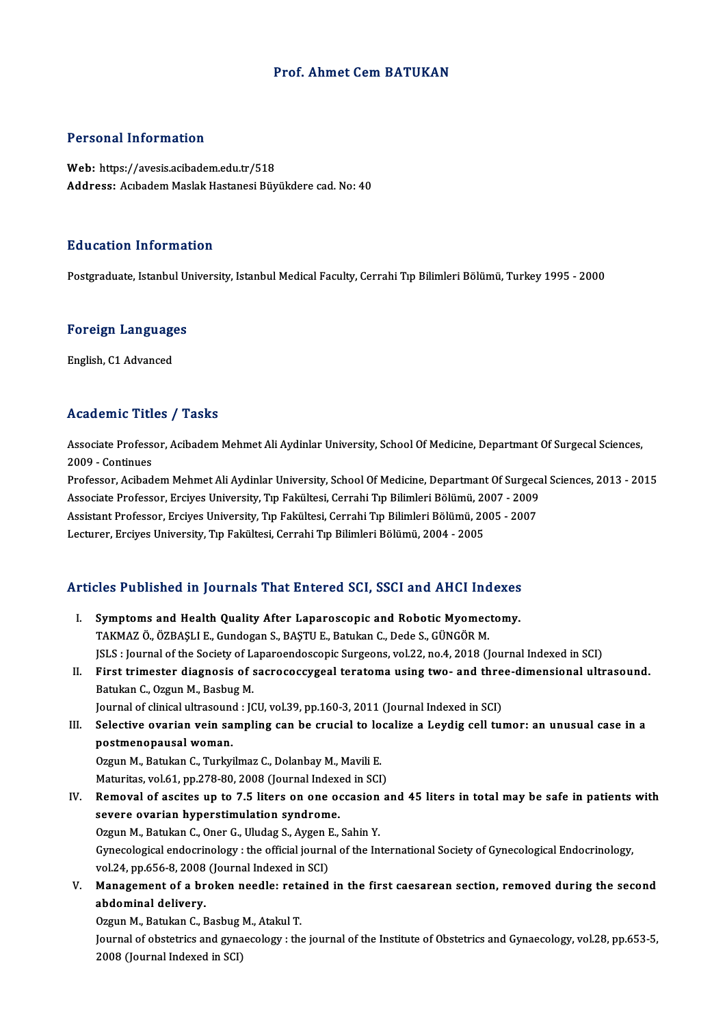### Prof. Ahmet CemBATUKAN

### Personal Information

Web: https://avesis.acibadem.edu.tr/518 Address: Acıbadem Maslak Hastanesi Büyükdere cad. No: 40

#### Education Information

Postgraduate, Istanbul University, Istanbul Medical Faculty, Cerrahi Tıp Bilimleri Bölümü, Turkey 1995 - 2000

### rosigraduate, istanbul ol<br>Foreign Languages <mark>Foreign Language</mark><br>English, C1 Advanced

## English, C1 Advanced<br>Academic Titles / Tasks

Academic Titles / Tasks<br>Associate Professor, Acibadem Mehmet Ali Aydinlar University, School Of Medicine, Departmant Of Surgecal Sciences,<br>2009 - Continues Associate Profess<br>2009 - Continues<br>Professor, Asibad 2009 - Continues<br>Professor, Acibadem Mehmet Ali Aydinlar University, School Of Medicine, Departmant Of Surgecal Sciences, 2013 - 2015

2009 - Continues<br>Professor, Acibadem Mehmet Ali Aydinlar University, School Of Medicine, Departmant Of Surgeca<br>Associate Professor, Ercives University, Tıp Fakültesi, Cerrahi Tıp Bilimleri Bölümü, 2007 - 2009<br>Assistant Pro Professor, Acibadem Mehmet Ali Aydinlar University, School Of Medicine, Departmant Of Surgec:<br>Associate Professor, Erciyes University, Tıp Fakültesi, Cerrahi Tıp Bilimleri Bölümü, 2007 - 2009<br>Assistant Professor, Erciyes U Associate Professor, Erciyes University, Tıp Fakültesi, Cerrahi Tıp Bilimleri Bölümü, 20<br>Assistant Professor, Erciyes University, Tıp Fakültesi, Cerrahi Tıp Bilimleri Bölümü, 20<br>Lecturer, Erciyes University, Tıp Fakültesi,

# Lecturer, Erclyes University, Tip Fakultesi, Cerrani Tip Billmeri Bolumu, 2004 - 2005<br>Articles Published in Journals That Entered SCI, SSCI and AHCI Indexes

Tricles Published in Journals That Entered SCI, SSCI and AHCI Indexes<br>I. Symptoms and Health Quality After Laparoscopic and Robotic Myomectomy.<br>TAKMAZ Ö ÖZPASLLE Cundozan S. PASTUE Patulan C. Dede S. CÜNCÖP M. I. Symptoms and Health Quality After Laparoscopic and Robotic Myomectomy.<br>TAKMAZ Ö., ÖZBAŞLI E., Gundogan S., BAŞTU E., Batukan C., Dede S., GÜNGÖR M. JSLS : Journal of the Society of Laparoendoscopic Surgeons, vol.22, no.4, 2018 (Journal Indexed in SCI) TAKMAZ Ö., ÖZBAŞLI E., Gundogan S., BAŞTU E., Batukan C., Dede S., GÜNGÖR M.<br>JSLS : Journal of the Society of Laparoendoscopic Surgeons, vol.22, no.4, 2018 (Journal Indexed in SCI)<br>II. First trimester diagnosis of sacrococ JSLS : Journal of the Society of Languistic<br>First trimester diagnosis of s<br>Batukan C., Ozgun M., Basbug M.<br>Journal of clinical ultresound : IC First trimester diagnosis of sacrococcygeal teratoma using two- and thre<br>Batukan C., Ozgun M., Basbug M.<br>Journal of clinical ultrasound : JCU, vol.39, pp.160-3, 2011 (Journal Indexed in SCI)<br>Selective evenion voin compling Batukan C., Ozgun M., Basbug M.<br>Journal of clinical ultrasound : JCU, vol.39, pp.160-3, 2011 (Journal Indexed in SCI)<br>III. Selective ovarian vein sampling can be crucial to localize a Leydig cell tumor: an unusual case Journal of clinical ultrasoune<br>Selective ovarian vein sa<br>postmenopausal woman.<br>Ozgun M. Batukan C. Turku Selective ovarian vein sampling can be crucial to lo<br>postmenopausal woman.<br>Ozgun M., Batukan C., Turkyilmaz C., Dolanbay M., Mavili E.<br>Maturitas vol 61, np 279,90, 2008 (Journal Indoved in SCI

postmenopausal woman.<br>Ozgun M., Batukan C., Turkyilmaz C., Dolanbay M., Mavili E.<br>Maturitas, vol.61, pp.278-80, 2008 (Journal Indexed in SCI)<br>Pemevel of assites un to 7 5 liters en ene essasion a

- Ozgun M., Batukan C., Turkyilmaz C., Dolanbay M., Mavili E.<br>Maturitas, vol.61, pp.278-80, 2008 (Journal Indexed in SCI)<br>IV. Removal of ascites up to 7.5 liters on one occasion and 45 liters in total may be safe in patients Maturitas, vol.61, pp.278-80, 2008 (Journal Index<br>Removal of ascites up to 7.5 liters on one of<br>severe ovarian hyperstimulation syndrome. Removal of ascites up to 7.5 liters on one occasion<br>severe ovarian hyperstimulation syndrome.<br>Ozgun M., Batukan C., Oner G., Uludag S., Aygen E., Sahin Y.<br>Cynecelogical ordogrinelegy , the official journal of the In Gynecological endocrinology : the official journal of the International Society of Gynecological Endocrinology,<br>vol.24, pp.656-8, 2008 (Journal Indexed in SCI) Ozgun M., Batukan C., Oner G., Uludag S., Aygen I<br>Gynecological endocrinology : the official journa<br>vol.24, pp.656-8, 2008 (Journal Indexed in SCI)<br>Management of a broken needleurateined Gynecological endocrinology : the official journal of the International Society of Gynecological Endocrinology,<br>vol.24, pp.656-8, 2008 (Journal Indexed in SCI)<br>V. Management of a broken needle: retained in the first caesar
- vol.24, pp.656-8, 2008<br>Management of a br<br>abdominal delivery.<br>Ozzun M. Batukan C. E Management of a broken needle: reta<br>abdominal delivery.<br>Ozgun M., Batukan C., Basbug M., Atakul T.<br>Journal of obstetries and gunesselegy uthe

abdominal delivery.<br>Ozgun M., Batukan C., Basbug M., Atakul T.<br>Journal of obstetrics and gynaecology : the journal of the Institute of Obstetrics and Gynaecology, vol.28, pp.653-5,<br>2008 (Journal Indoved in SCD Ozgun M., Batukan C., Basbug ]<br>Journal of obstetrics and gyna<br>2008 (Journal Indexed in SCI)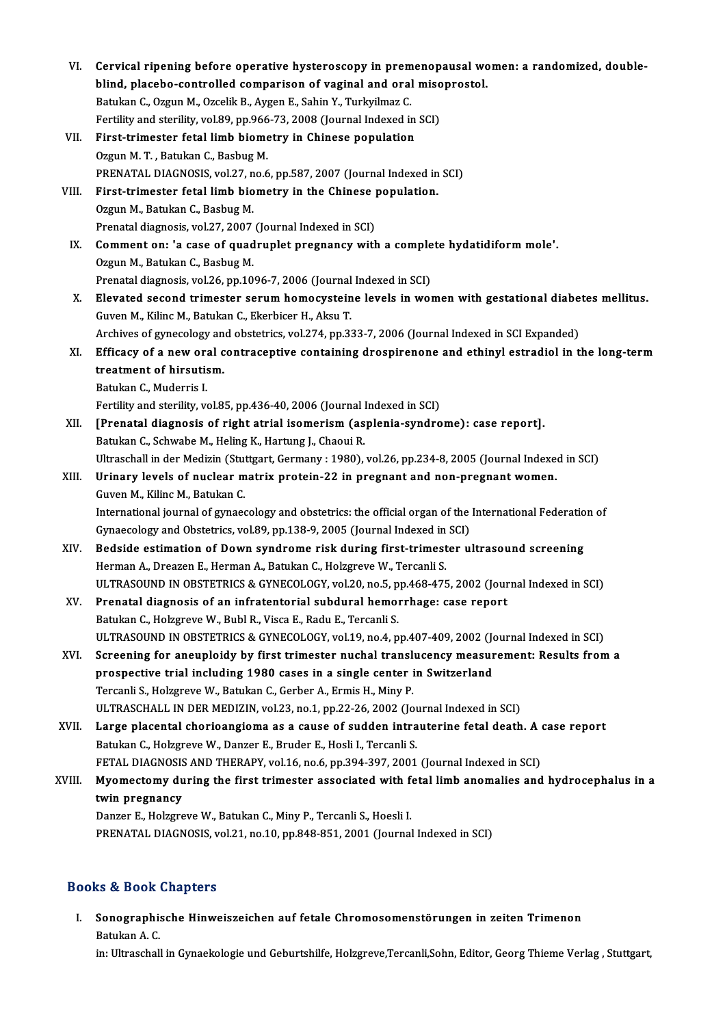| VI.    | Cervical ripening before operative hysteroscopy in premenopausal women: a randomized, double-                                                                                                 |
|--------|-----------------------------------------------------------------------------------------------------------------------------------------------------------------------------------------------|
|        | blind, placebo-controlled comparison of vaginal and oral misoprostol.                                                                                                                         |
|        | Batukan C., Ozgun M., Ozcelik B., Aygen E., Sahin Y., Turkyilmaz C.                                                                                                                           |
|        | Fertility and sterility, vol.89, pp.966-73, 2008 (Journal Indexed in SCI)                                                                                                                     |
| VII.   | First-trimester fetal limb biometry in Chinese population                                                                                                                                     |
|        | Ozgun M. T., Batukan C., Basbug M.                                                                                                                                                            |
|        | PRENATAL DIAGNOSIS, vol.27, no.6, pp.587, 2007 (Journal Indexed in SCI)                                                                                                                       |
| VIII.  | First-trimester fetal limb biometry in the Chinese population.                                                                                                                                |
|        | Ozgun M., Batukan C., Basbug M.                                                                                                                                                               |
|        | Prenatal diagnosis, vol.27, 2007 (Journal Indexed in SCI)                                                                                                                                     |
| IX.    | Comment on: 'a case of quadruplet pregnancy with a complete hydatidiform mole'.                                                                                                               |
|        | Ozgun M., Batukan C., Basbug M.                                                                                                                                                               |
|        | Prenatal diagnosis, vol.26, pp.1096-7, 2006 (Journal Indexed in SCI)                                                                                                                          |
| X.     | Elevated second trimester serum homocysteine levels in women with gestational diabetes mellitus.                                                                                              |
|        | Guven M., Kilinc M., Batukan C., Ekerbicer H., Aksu T.                                                                                                                                        |
|        | Archives of gynecology and obstetrics, vol.274, pp.333-7, 2006 (Journal Indexed in SCI Expanded)                                                                                              |
| XI.    | Efficacy of a new oral contraceptive containing drospirenone and ethinyl estradiol in the long-term                                                                                           |
|        | treatment of hirsutism.                                                                                                                                                                       |
|        | Batukan C., Muderris I.                                                                                                                                                                       |
|        | Fertility and sterility, vol.85, pp.436-40, 2006 (Journal Indexed in SCI)                                                                                                                     |
| XII.   | [Prenatal diagnosis of right atrial isomerism (asplenia-syndrome): case report].                                                                                                              |
|        | Batukan C., Schwabe M., Heling K., Hartung J., Chaoui R.                                                                                                                                      |
|        | Ultraschall in der Medizin (Stuttgart, Germany : 1980), vol.26, pp.234-8, 2005 (Journal Indexed in SCI)                                                                                       |
| XIII.  | Urinary levels of nuclear matrix protein-22 in pregnant and non-pregnant women.                                                                                                               |
|        | Guven M., Kilinc M., Batukan C.                                                                                                                                                               |
|        | International journal of gynaecology and obstetrics: the official organ of the International Federation of                                                                                    |
|        | Gynaecology and Obstetrics, vol.89, pp.138-9, 2005 (Journal Indexed in SCI)                                                                                                                   |
| XIV.   | Bedside estimation of Down syndrome risk during first-trimester ultrasound screening                                                                                                          |
|        | Herman A., Dreazen E., Herman A., Batukan C., Holzgreve W., Tercanli S.                                                                                                                       |
|        | ULTRASOUND IN OBSTETRICS & GYNECOLOGY, vol.20, no.5, pp.468-475, 2002 (Journal Indexed in SCI)                                                                                                |
| XV.    | Prenatal diagnosis of an infratentorial subdural hemorrhage: case report                                                                                                                      |
|        | Batukan C., Holzgreve W., Bubl R., Visca E., Radu E., Tercanli S.                                                                                                                             |
|        | ULTRASOUND IN OBSTETRICS & GYNECOLOGY, vol.19, no.4, pp.407-409, 2002 (Journal Indexed in SCI)<br>Screening for aneuploidy by first trimester nuchal translucency measurement: Results from a |
| XVI.   |                                                                                                                                                                                               |
|        | prospective trial including 1980 cases in a single center in Switzerland<br>Tercanli S., Holzgreve W., Batukan C., Gerber A., Ermis H., Miny P.                                               |
|        | ULTRASCHALL IN DER MEDIZIN, vol.23, no.1, pp.22-26, 2002 (Journal Indexed in SCI)                                                                                                             |
| XVII.  | Large placental chorioangioma as a cause of sudden intrauterine fetal death. A case report                                                                                                    |
|        | Batukan C., Holzgreve W., Danzer E., Bruder E., Hosli I., Tercanli S.                                                                                                                         |
|        | FETAL DIAGNOSIS AND THERAPY, vol.16, no.6, pp.394-397, 2001 (Journal Indexed in SCI)                                                                                                          |
| XVIII. | Myomectomy during the first trimester associated with fetal limb anomalies and hydrocephalus in a                                                                                             |
|        | twin pregnancy                                                                                                                                                                                |
|        | Danzer E., Holzgreve W., Batukan C., Miny P., Tercanli S., Hoesli I.                                                                                                                          |
|        | PRENATAL DIAGNOSIS, vol.21, no.10, pp.848-851, 2001 (Journal Indexed in SCI)                                                                                                                  |
|        |                                                                                                                                                                                               |

### Books&Book Chapters

ooks & Book Chapters<br>I. Sonographische Hinweiszeichen auf fetale Chromosomenstörungen in zeiten Trimenon<br>Retulian A.C. so & Book<br>Sonographis<br>Batukan A. C.<br>in: Utressball Batukan A. C.<br>in: Ultraschall in Gynaekologie und Geburtshilfe, Holzgreve,Tercanli,Sohn, Editor, Georg Thieme Verlag , Stuttgart,